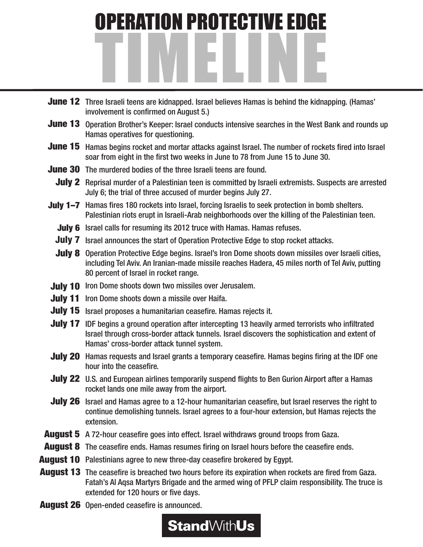

- June 12 Three Israeli teens are kidnapped. Israel believes Hamas is behind the kidnapping. (Hamas' involvement is confirmed on August 5.)
- June 13 Operation Brother's Keeper: Israel conducts intensive searches in the West Bank and rounds up Hamas operatives for questioning.
- June 15 Hamas begins rocket and mortar attacks against Israel. The number of rockets fired into Israel soar from eight in the first two weeks in June to 78 from June 15 to June 30.
- June 30 The murdered bodies of the three Israeli teens are found.
	- July 2 Reprisal murder of a Palestinian teen is committed by Israeli extremists. Suspects are arrested July 6; the trial of three accused of murder begins July 27.
- July 1-7 Hamas fires 180 rockets into Israel, forcing Israelis to seek protection in bomb shelters. Palestinian riots erupt in Israeli-Arab neighborhoods over the killing of the Palestinian teen.
	- July 6 Israel calls for resuming its 2012 truce with Hamas. Hamas refuses.
	- July 7 Israel announces the start of Operation Protective Edge to stop rocket attacks.
	- July 8 Operation Protective Edge begins. Israel's Iron Dome shoots down missiles over Israeli cities, including Tel Aviv. An Iranian-made missile reaches Hadera, 45 miles north of Tel Aviv, putting 80 percent of Israel in rocket range.
- July 10 Iron Dome shoots down two missiles over Jerusalem.
- July 11 Iron Dome shoots down a missile over Haifa.
- July 15 Israel proposes a humanitarian ceasefire. Hamas rejects it.
- July 17 IDF begins a ground operation after intercepting 13 heavily armed terrorists who infiltrated Israel through cross-border attack tunnels. Israel discovers the sophistication and extent of Hamas' cross-border attack tunnel system.
- July 20 Hamas requests and Israel grants a temporary ceasefire. Hamas begins firing at the IDF one hour into the ceasefire.
- July 22 U.S. and European airlines temporarily suspend flights to Ben Gurion Airport after a Hamas rocket lands one mile away from the airport.
- July 26 Israel and Hamas agree to a 12-hour humanitarian ceasefire, but Israel reserves the right to continue demolishing tunnels. Israel agrees to a four-hour extension, but Hamas rejects the extension.
- August 5 A 72-hour ceasefire goes into effect. Israel withdraws ground troops from Gaza.
- August 8 The ceasefire ends. Hamas resumes firing on Israel hours before the ceasefire ends.
- August 10 Palestinians agree to new three-day ceasefire brokered by Egypt.
- August 13 The ceasefire is breached two hours before its expiration when rockets are fired from Gaza. Fatah's Al Aqsa Martyrs Brigade and the armed wing of PFLP claim responsibility. The truce is extended for 120 hours or five days.
- August 26 Open-ended ceasefire is announced.

## **Stand**WithUs